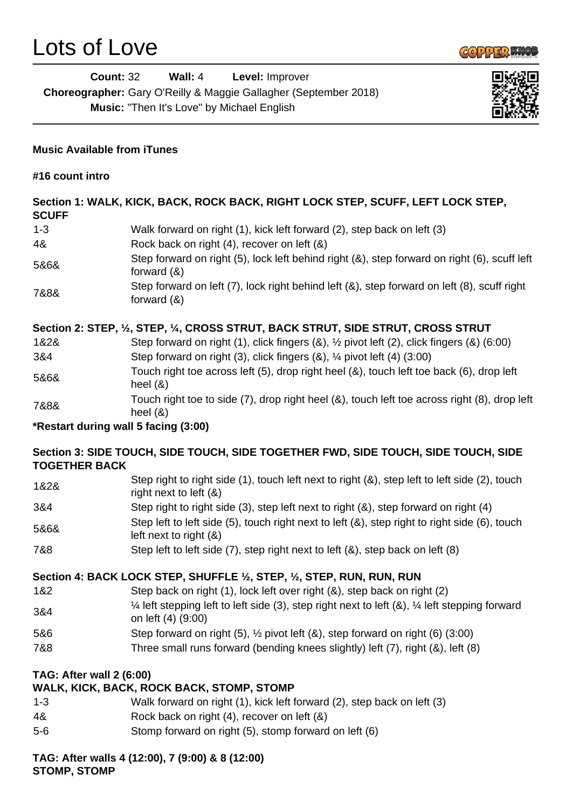

| Count: 32                                                               | Wall: $4$ | <b>Level:</b> Improver                            |  |
|-------------------------------------------------------------------------|-----------|---------------------------------------------------|--|
| <b>Choreographer:</b> Gary O'Reilly & Maggie Gallagher (September 2018) |           |                                                   |  |
|                                                                         |           | <b>Music:</b> "Then It's Love" by Michael English |  |



# **Music Available from iTunes**

**#16 count intro**

### **Section 1: WALK, KICK, BACK, ROCK BACK, RIGHT LOCK STEP, SCUFF, LEFT LOCK STEP, SCUFF**

| .       |                                                                                                               |
|---------|---------------------------------------------------------------------------------------------------------------|
| $1 - 3$ | Walk forward on right (1), kick left forward (2), step back on left (3)                                       |
| 4&      | Rock back on right (4), recover on left (&)                                                                   |
| 5&6&    | Step forward on right (5), lock left behind right (&), step forward on right (6), scuff left<br>forward $(8)$ |
| 7&8&    | Step forward on left (7), lock right behind left (8), step forward on left (8), scuff right<br>forward $(8)$  |

# **Section 2: STEP, ½, STEP, ¼, CROSS STRUT, BACK STRUT, SIDE STRUT, CROSS STRUT**

| 1&2& | Step forward on right (1), click fingers $(8)$ , $\frac{1}{2}$ pivot left (2), click fingers $(8)$ (6:00)  |
|------|------------------------------------------------------------------------------------------------------------|
| 3&4  | Step forward on right (3), click fingers (&), 1/4 pivot left (4) (3:00)                                    |
| 5&6& | Touch right toe across left (5), drop right heel (&), touch left toe back (6), drop left<br>heel $(8)$     |
| 7&8& | Touch right toe to side (7), drop right heel (&), touch left toe across right (8), drop left<br>heel $(8)$ |

**\*Restart during wall 5 facing (3:00)**

# **Section 3: SIDE TOUCH, SIDE TOUCH, SIDE TOGETHER FWD, SIDE TOUCH, SIDE TOUCH, SIDE TOGETHER BACK**

| 1&2& | Step right to right side (1), touch left next to right (&), step left to left side (2), touch<br>right next to left $(8)$ |
|------|---------------------------------------------------------------------------------------------------------------------------|
| 3&4  | Step right to right side (3), step left next to right (&), step forward on right (4)                                      |
| 5&6& | Step left to left side (5), touch right next to left (&), step right to right side (6), touch<br>left next to right $(8)$ |

7&8 Step left to left side (7), step right next to left (&), step back on left (8)

# **Section 4: BACK LOCK STEP, SHUFFLE ½, STEP, ½, STEP, RUN, RUN, RUN**

- 1&2 Step back on right (1), lock left over right (&), step back on right (2)
- 3&4 ¼ left stepping left to left side (3), step right next to left (&), ¼ left stepping forward on left (4) (9:00)
- 5&6 Step forward on right (5), ½ pivot left (&), step forward on right (6) (3:00)
- 7&8 Three small runs forward (bending knees slightly) left (7), right (&), left (8)

# **TAG: After wall 2 (6:00)**

# **WALK, KICK, BACK, ROCK BACK, STOMP, STOMP**

- 1-3 Walk forward on right (1), kick left forward (2), step back on left (3)
- 4& Rock back on right (4), recover on left (&)
- 5-6 Stomp forward on right (5), stomp forward on left (6)

### **TAG: After walls 4 (12:00), 7 (9:00) & 8 (12:00) STOMP, STOMP**